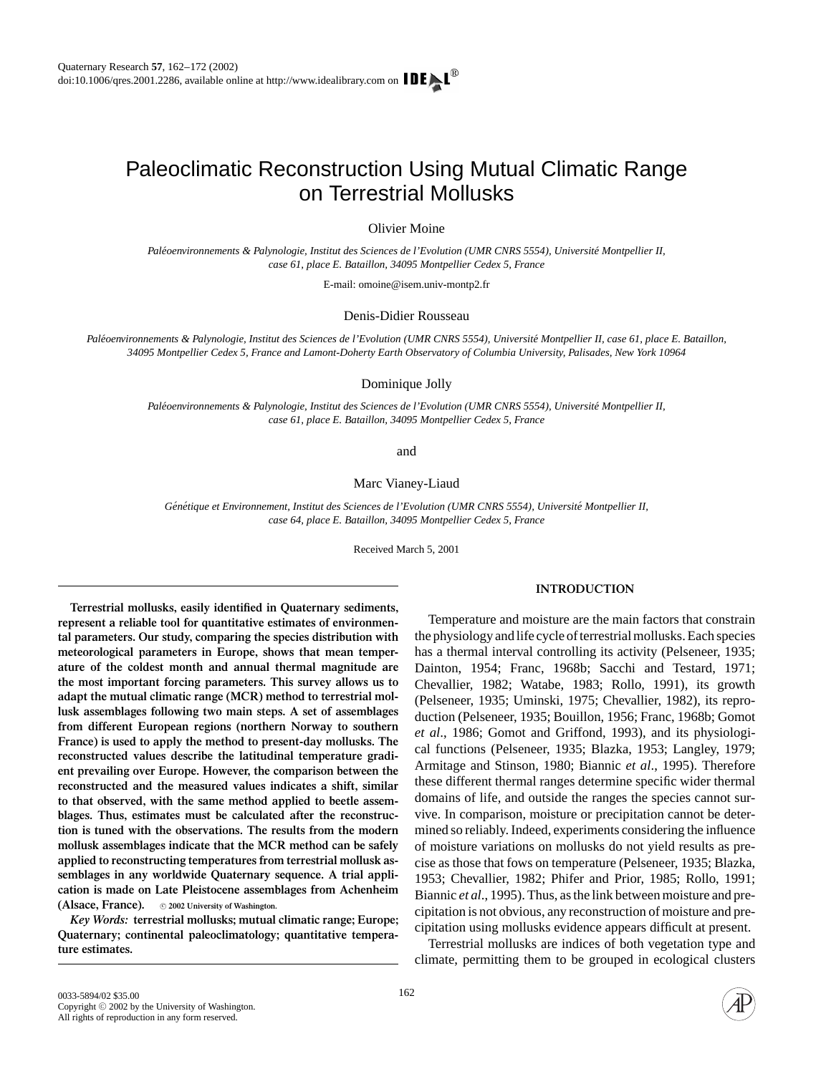# Paleoclimatic Reconstruction Using Mutual Climatic Range on Terrestrial Mollusks

Olivier Moine

*Paleoenvironnements & Palynologie, Institut des Sciences de l'Evolution (UMR CNRS 5554), Universit ´ e Montpellier II, ´ case 61, place E. Bataillon, 34095 Montpellier Cedex 5, France*

E-mail: omoine@isem.univ-montp2.fr

# Denis-Didier Rousseau

Paléoenvironnements & Palynologie, Institut des Sciences de l'Evolution (UMR CNRS 5554), Université Montpellier II, case 61, place E. Bataillon, *34095 Montpellier Cedex 5, France and Lamont-Doherty Earth Observatory of Columbia University, Palisades, New York 10964*

Dominique Jolly

*Paleoenvironnements & Palynologie, Institut des Sciences de l'Evolution (UMR CNRS 5554), Universit ´ e Montpellier II, ´ case 61, place E. Bataillon, 34095 Montpellier Cedex 5, France*

and

Marc Vianey-Liaud

*Gen´ etique et Environnement, Institut des Sciences de l'Evolution (UMR CNRS 5554), Universit ´ e Montpellier II, ´ case 64, place E. Bataillon, 34095 Montpellier Cedex 5, France*

Received March 5, 2001

# **INTRODUCTION**

**Terrestrial mollusks, easily identified in Quaternary sediments, represent a reliable tool for quantitative estimates of environmental parameters. Our study, comparing the species distribution with meteorological parameters in Europe, shows that mean temperature of the coldest month and annual thermal magnitude are the most important forcing parameters. This survey allows us to adapt the mutual climatic range (MCR) method to terrestrial mollusk assemblages following two main steps. A set of assemblages from different European regions (northern Norway to southern France) is used to apply the method to present-day mollusks. The reconstructed values describe the latitudinal temperature gradient prevailing over Europe. However, the comparison between the reconstructed and the measured values indicates a shift, similar to that observed, with the same method applied to beetle assemblages. Thus, estimates must be calculated after the reconstruction is tuned with the observations. The results from the modern mollusk assemblages indicate that the MCR method can be safely applied to reconstructing temperatures from terrestrial mollusk assemblages in any worldwide Quaternary sequence. A trial application is made on Late Pleistocene assemblages from Achenheim (Alsace, France).** °**<sup>C</sup> 2002 University of Washington.**

*Key Words:* **terrestrial mollusks; mutual climatic range; Europe; Quaternary; continental paleoclimatology; quantitative temperature estimates.**

Temperature and moisture are the main factors that constrain the physiology and life cycle of terrestrial mollusks. Each species has a thermal interval controlling its activity (Pelseneer, 1935; Dainton, 1954; Franc, 1968b; Sacchi and Testard, 1971; Chevallier, 1982; Watabe, 1983; Rollo, 1991), its growth (Pelseneer, 1935; Uminski, 1975; Chevallier, 1982), its reproduction (Pelseneer, 1935; Bouillon, 1956; Franc, 1968b; Gomot *et al*., 1986; Gomot and Griffond, 1993), and its physiological functions (Pelseneer, 1935; Blazka, 1953; Langley, 1979; Armitage and Stinson, 1980; Biannic *et al*., 1995). Therefore these different thermal ranges determine specific wider thermal domains of life, and outside the ranges the species cannot survive. In comparison, moisture or precipitation cannot be determined so reliably. Indeed, experiments considering the influence of moisture variations on mollusks do not yield results as precise as those that fows on temperature (Pelseneer, 1935; Blazka, 1953; Chevallier, 1982; Phifer and Prior, 1985; Rollo, 1991; Biannic *et al*., 1995). Thus, as the link between moisture and precipitation is not obvious, any reconstruction of moisture and precipitation using mollusks evidence appears difficult at present.

Terrestrial mollusks are indices of both vegetation type and climate, permitting them to be grouped in ecological clusters

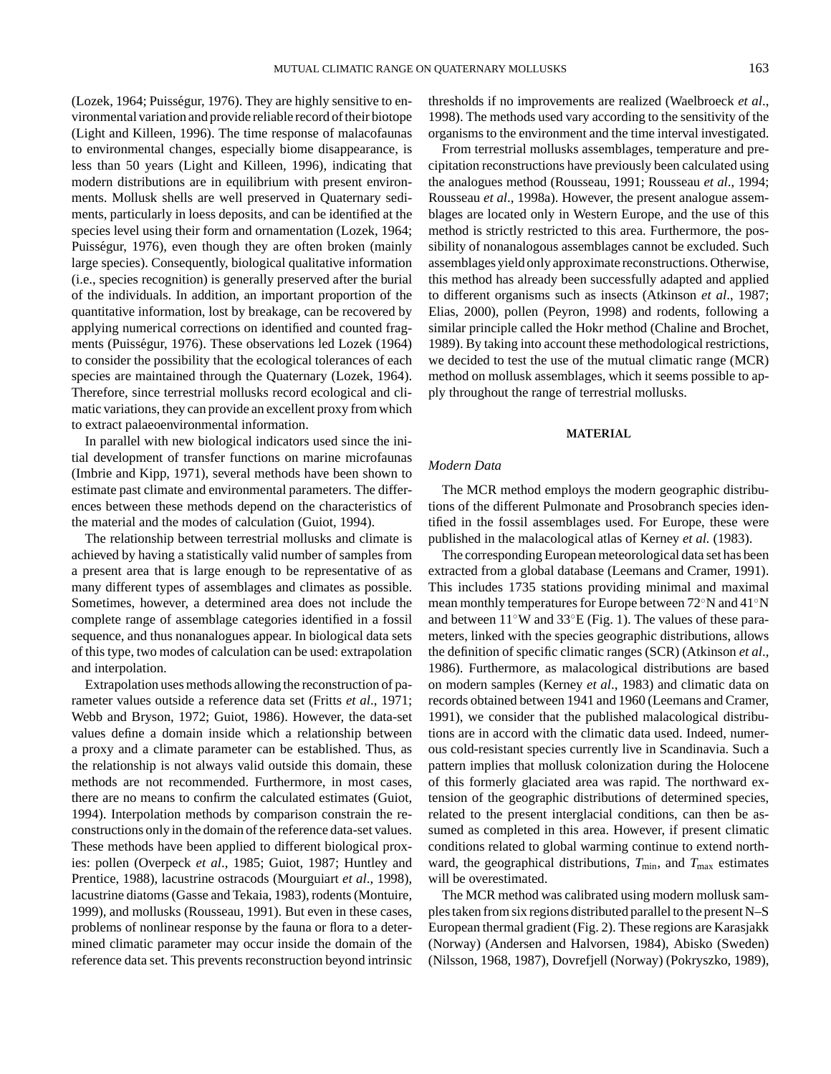$(Lozek, 1964; Puisségur, 1976)$ . They are highly sensitive to environmental variation and provide reliable record of their biotope (Light and Killeen, 1996). The time response of malacofaunas to environmental changes, especially biome disappearance, is less than 50 years (Light and Killeen, 1996), indicating that modern distributions are in equilibrium with present environments. Mollusk shells are well preserved in Quaternary sediments, particularly in loess deposits, and can be identified at the species level using their form and ornamentation (Lozek, 1964; Puisségur, 1976), even though they are often broken (mainly large species). Consequently, biological qualitative information (i.e., species recognition) is generally preserved after the burial of the individuals. In addition, an important proportion of the quantitative information, lost by breakage, can be recovered by applying numerical corrections on identified and counted fragments (Puisségur, 1976). These observations led Lozek (1964) to consider the possibility that the ecological tolerances of each species are maintained through the Quaternary (Lozek, 1964). Therefore, since terrestrial mollusks record ecological and climatic variations, they can provide an excellent proxy from which to extract palaeoenvironmental information.

In parallel with new biological indicators used since the initial development of transfer functions on marine microfaunas (Imbrie and Kipp, 1971), several methods have been shown to estimate past climate and environmental parameters. The differences between these methods depend on the characteristics of the material and the modes of calculation (Guiot, 1994).

The relationship between terrestrial mollusks and climate is achieved by having a statistically valid number of samples from a present area that is large enough to be representative of as many different types of assemblages and climates as possible. Sometimes, however, a determined area does not include the complete range of assemblage categories identified in a fossil sequence, and thus nonanalogues appear. In biological data sets of this type, two modes of calculation can be used: extrapolation and interpolation.

Extrapolation uses methods allowing the reconstruction of parameter values outside a reference data set (Fritts *et al*., 1971; Webb and Bryson, 1972; Guiot, 1986). However, the data-set values define a domain inside which a relationship between a proxy and a climate parameter can be established. Thus, as the relationship is not always valid outside this domain, these methods are not recommended. Furthermore, in most cases, there are no means to confirm the calculated estimates (Guiot, 1994). Interpolation methods by comparison constrain the reconstructions only in the domain of the reference data-set values. These methods have been applied to different biological proxies: pollen (Overpeck *et al*., 1985; Guiot, 1987; Huntley and Prentice, 1988), lacustrine ostracods (Mourguiart *et al*., 1998), lacustrine diatoms (Gasse and Tekaia, 1983), rodents (Montuire, 1999), and mollusks (Rousseau, 1991). But even in these cases, problems of nonlinear response by the fauna or flora to a determined climatic parameter may occur inside the domain of the reference data set. This prevents reconstruction beyond intrinsic thresholds if no improvements are realized (Waelbroeck *et al*., 1998). The methods used vary according to the sensitivity of the organisms to the environment and the time interval investigated.

From terrestrial mollusks assemblages, temperature and precipitation reconstructions have previously been calculated using the analogues method (Rousseau, 1991; Rousseau *et al*., 1994; Rousseau *et al*., 1998a). However, the present analogue assemblages are located only in Western Europe, and the use of this method is strictly restricted to this area. Furthermore, the possibility of nonanalogous assemblages cannot be excluded. Such assemblages yield only approximate reconstructions. Otherwise, this method has already been successfully adapted and applied to different organisms such as insects (Atkinson *et al*., 1987; Elias, 2000), pollen (Peyron, 1998) and rodents, following a similar principle called the Hokr method (Chaline and Brochet, 1989). By taking into account these methodological restrictions, we decided to test the use of the mutual climatic range (MCR) method on mollusk assemblages, which it seems possible to apply throughout the range of terrestrial mollusks.

#### **MATERIAL**

# *Modern Data*

The MCR method employs the modern geographic distributions of the different Pulmonate and Prosobranch species identified in the fossil assemblages used. For Europe, these were published in the malacological atlas of Kerney *et al.* (1983).

The corresponding European meteorological data set has been extracted from a global database (Leemans and Cramer, 1991). This includes 1735 stations providing minimal and maximal mean monthly temperatures for Europe between 72◦N and 41◦N and between 11◦W and 33◦E (Fig. 1). The values of these parameters, linked with the species geographic distributions, allows the definition of specific climatic ranges (SCR) (Atkinson *et al*., 1986). Furthermore, as malacological distributions are based on modern samples (Kerney *et al*., 1983) and climatic data on records obtained between 1941 and 1960 (Leemans and Cramer, 1991), we consider that the published malacological distributions are in accord with the climatic data used. Indeed, numerous cold-resistant species currently live in Scandinavia. Such a pattern implies that mollusk colonization during the Holocene of this formerly glaciated area was rapid. The northward extension of the geographic distributions of determined species, related to the present interglacial conditions, can then be assumed as completed in this area. However, if present climatic conditions related to global warming continue to extend northward, the geographical distributions,  $T_{\text{min}}$ , and  $T_{\text{max}}$  estimates will be overestimated.

The MCR method was calibrated using modern mollusk samples taken from six regions distributed parallel to the present N–S European thermal gradient (Fig. 2). These regions are Karasjakk (Norway) (Andersen and Halvorsen, 1984), Abisko (Sweden) (Nilsson, 1968, 1987), Dovrefjell (Norway) (Pokryszko, 1989),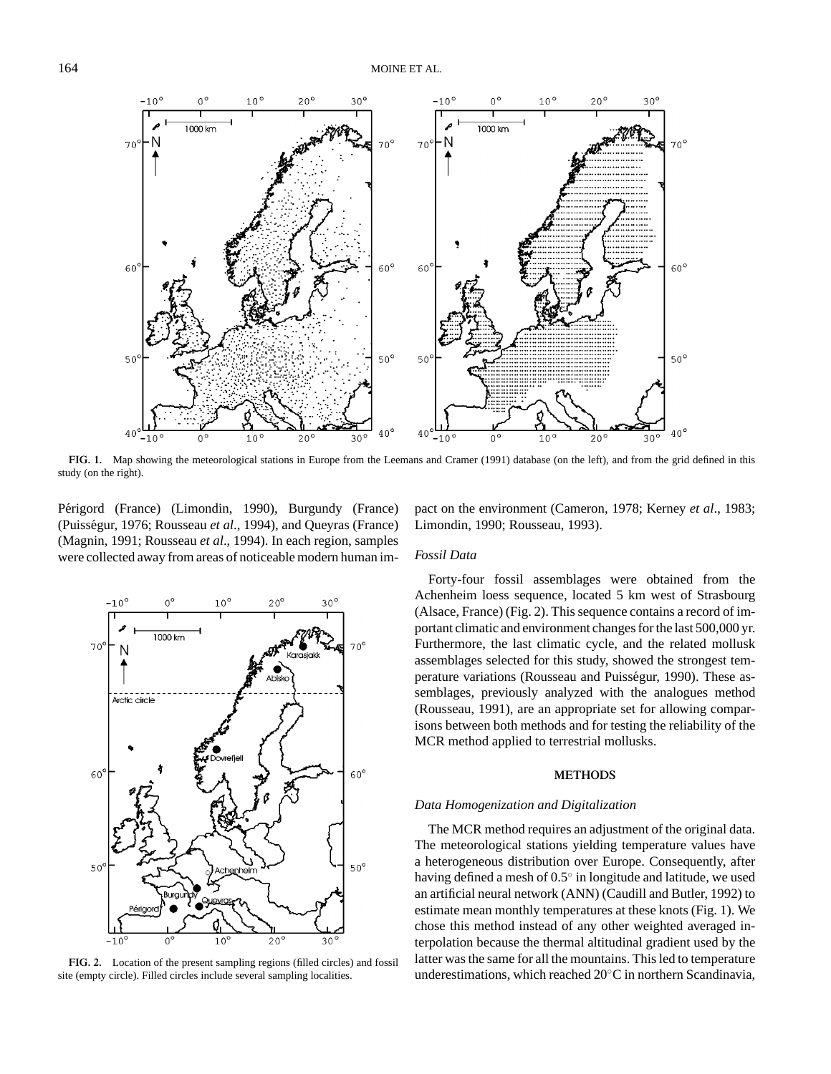$-10^{\circ}$  $-10^{\circ}$  $0^{\circ}$  $10^{\circ}$  $20^{\circ}$ зo°  $0^{\circ}$  $30^\circ$  $10^{\circ}$  $20^{\circ}$  $1000$  km 1000 km  $70^\circ$  $70^{\circ}$  $70^{\circ}$  $70^{\circ}$  $60^{\circ}$  $60^{\circ}$ 60 60  $50^{\circ}$  $50^{\circ}$ 50 50  $40^{\circ}$  $40^{\circ}$  $\overline{0}$ ۹۵٬  $-10$ 0  $20^{\circ}$ ۹Λ۹

**FIG. 1.** Map showing the meteorological stations in Europe from the Leemans and Cramer (1991) database (on the left), and from the grid defined in this study (on the right).

Périgord (France) (Limondin, 1990), Burgundy (France) (Puisségur, 1976; Rousseau et al., 1994), and Queyras (France) (Magnin, 1991; Rousseau *et al*., 1994). In each region, samples were collected away from areas of noticeable modern human im-



**FIG. 2.** Location of the present sampling regions (filled circles) and fossil site (empty circle). Filled circles include several sampling localities.

pact on the environment (Cameron, 1978; Kerney *et al*., 1983; Limondin, 1990; Rousseau, 1993).

## *Fossil Data*

Forty-four fossil assemblages were obtained from the Achenheim loess sequence, located 5 km west of Strasbourg (Alsace, France) (Fig. 2). This sequence contains a record of important climatic and environment changes for the last 500,000 yr. Furthermore, the last climatic cycle, and the related mollusk assemblages selected for this study, showed the strongest temperature variations (Rousseau and Puisségur, 1990). These assemblages, previously analyzed with the analogues method (Rousseau, 1991), are an appropriate set for allowing comparisons between both methods and for testing the reliability of the MCR method applied to terrestrial mollusks.

# **METHODS**

## *Data Homogenization and Digitalization*

The MCR method requires an adjustment of the original data. The meteorological stations yielding temperature values have a heterogeneous distribution over Europe. Consequently, after having defined a mesh of 0.5◦ in longitude and latitude, we used an artificial neural network (ANN) (Caudill and Butler, 1992) to estimate mean monthly temperatures at these knots (Fig. 1). We chose this method instead of any other weighted averaged interpolation because the thermal altitudinal gradient used by the latter was the same for all the mountains. This led to temperature underestimations, which reached 20◦C in northern Scandinavia,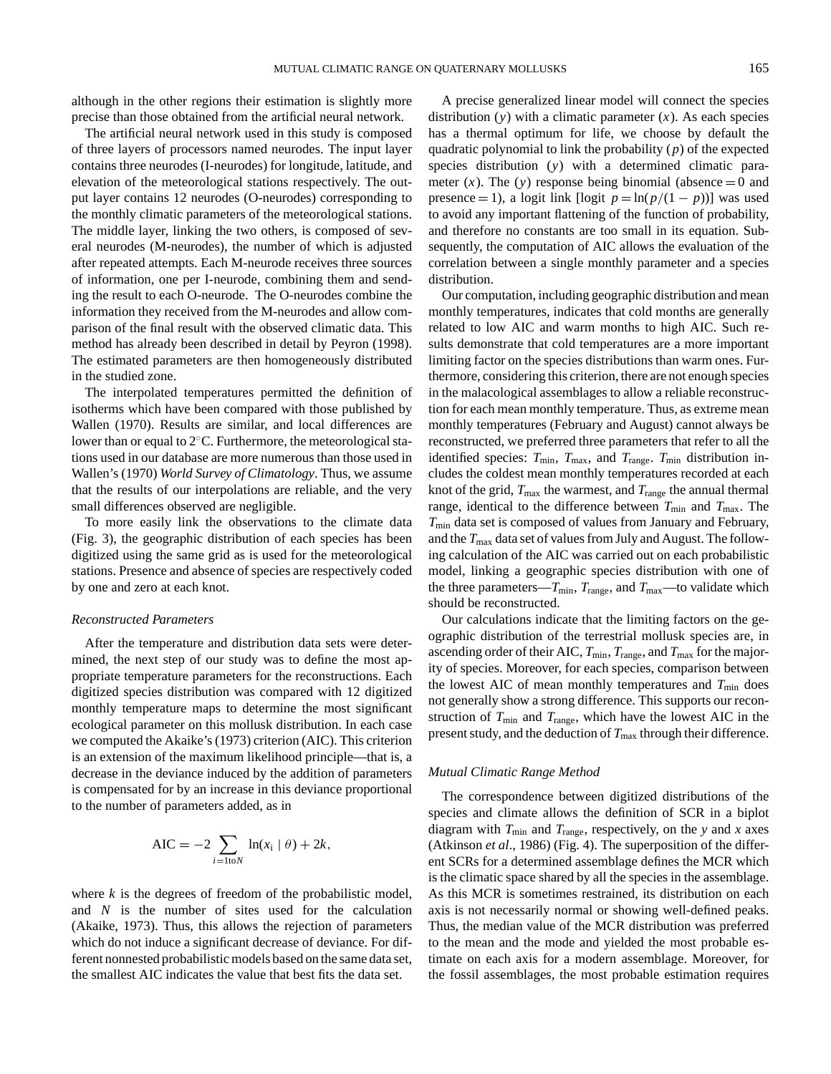although in the other regions their estimation is slightly more precise than those obtained from the artificial neural network.

The artificial neural network used in this study is composed of three layers of processors named neurodes. The input layer contains three neurodes (I-neurodes) for longitude, latitude, and elevation of the meteorological stations respectively. The output layer contains 12 neurodes (O-neurodes) corresponding to the monthly climatic parameters of the meteorological stations. The middle layer, linking the two others, is composed of several neurodes (M-neurodes), the number of which is adjusted after repeated attempts. Each M-neurode receives three sources of information, one per I-neurode, combining them and sending the result to each O-neurode. The O-neurodes combine the information they received from the M-neurodes and allow comparison of the final result with the observed climatic data. This method has already been described in detail by Peyron (1998). The estimated parameters are then homogeneously distributed in the studied zone.

The interpolated temperatures permitted the definition of isotherms which have been compared with those published by Wallen (1970). Results are similar, and local differences are lower than or equal to 2◦C. Furthermore, the meteorological stations used in our database are more numerous than those used in Wallen's (1970) *World Survey of Climatology*. Thus, we assume that the results of our interpolations are reliable, and the very small differences observed are negligible.

To more easily link the observations to the climate data (Fig. 3), the geographic distribution of each species has been digitized using the same grid as is used for the meteorological stations. Presence and absence of species are respectively coded by one and zero at each knot.

#### *Reconstructed Parameters*

After the temperature and distribution data sets were determined, the next step of our study was to define the most appropriate temperature parameters for the reconstructions. Each digitized species distribution was compared with 12 digitized monthly temperature maps to determine the most significant ecological parameter on this mollusk distribution. In each case we computed the Akaike's (1973) criterion (AIC). This criterion is an extension of the maximum likelihood principle—that is, a decrease in the deviance induced by the addition of parameters is compensated for by an increase in this deviance proportional to the number of parameters added, as in

$$
AIC = -2 \sum_{i=1 \text{to } N} \ln(x_i \mid \theta) + 2k,
$$

where *k* is the degrees of freedom of the probabilistic model, and *N* is the number of sites used for the calculation (Akaike, 1973). Thus, this allows the rejection of parameters which do not induce a significant decrease of deviance. For different nonnested probabilistic models based on the same data set, the smallest AIC indicates the value that best fits the data set.

A precise generalized linear model will connect the species distribution  $(y)$  with a climatic parameter  $(x)$ . As each species has a thermal optimum for life, we choose by default the quadratic polynomial to link the probability (*p*) of the expected species distribution (*y*) with a determined climatic parameter  $(x)$ . The  $(y)$  response being binomial (absence  $= 0$  and presence = 1), a logit link [logit  $p = \ln(p/(1 - p))$ ] was used to avoid any important flattening of the function of probability, and therefore no constants are too small in its equation. Subsequently, the computation of AIC allows the evaluation of the correlation between a single monthly parameter and a species distribution.

Our computation, including geographic distribution and mean monthly temperatures, indicates that cold months are generally related to low AIC and warm months to high AIC. Such results demonstrate that cold temperatures are a more important limiting factor on the species distributions than warm ones. Furthermore, considering this criterion, there are not enough species in the malacological assemblages to allow a reliable reconstruction for each mean monthly temperature. Thus, as extreme mean monthly temperatures (February and August) cannot always be reconstructed, we preferred three parameters that refer to all the identified species:  $T_{\text{min}}$ ,  $T_{\text{max}}$ , and  $T_{\text{range}}$ .  $T_{\text{min}}$  distribution includes the coldest mean monthly temperatures recorded at each knot of the grid,  $T_{\text{max}}$  the warmest, and  $T_{\text{range}}$  the annual thermal range, identical to the difference between  $T_{\text{min}}$  and  $T_{\text{max}}$ . The *T*min data set is composed of values from January and February, and the *T*max data set of values from July and August. The following calculation of the AIC was carried out on each probabilistic model, linking a geographic species distribution with one of the three parameters— $T_{\text{min}}$ ,  $T_{\text{range}}$ , and  $T_{\text{max}}$ —to validate which should be reconstructed.

Our calculations indicate that the limiting factors on the geographic distribution of the terrestrial mollusk species are, in ascending order of their AIC,  $T_{min}$ ,  $T_{range}$ , and  $T_{max}$  for the majority of species. Moreover, for each species, comparison between the lowest AIC of mean monthly temperatures and  $T_{\text{min}}$  does not generally show a strong difference. This supports our reconstruction of  $T_{\text{min}}$  and  $T_{\text{range}}$ , which have the lowest AIC in the present study, and the deduction of  $T_{\text{max}}$  through their difference.

#### *Mutual Climatic Range Method*

The correspondence between digitized distributions of the species and climate allows the definition of SCR in a biplot diagram with  $T_{min}$  and  $T_{range}$ , respectively, on the *y* and *x* axes (Atkinson *et al*., 1986) (Fig. 4). The superposition of the different SCRs for a determined assemblage defines the MCR which is the climatic space shared by all the species in the assemblage. As this MCR is sometimes restrained, its distribution on each axis is not necessarily normal or showing well-defined peaks. Thus, the median value of the MCR distribution was preferred to the mean and the mode and yielded the most probable estimate on each axis for a modern assemblage. Moreover, for the fossil assemblages, the most probable estimation requires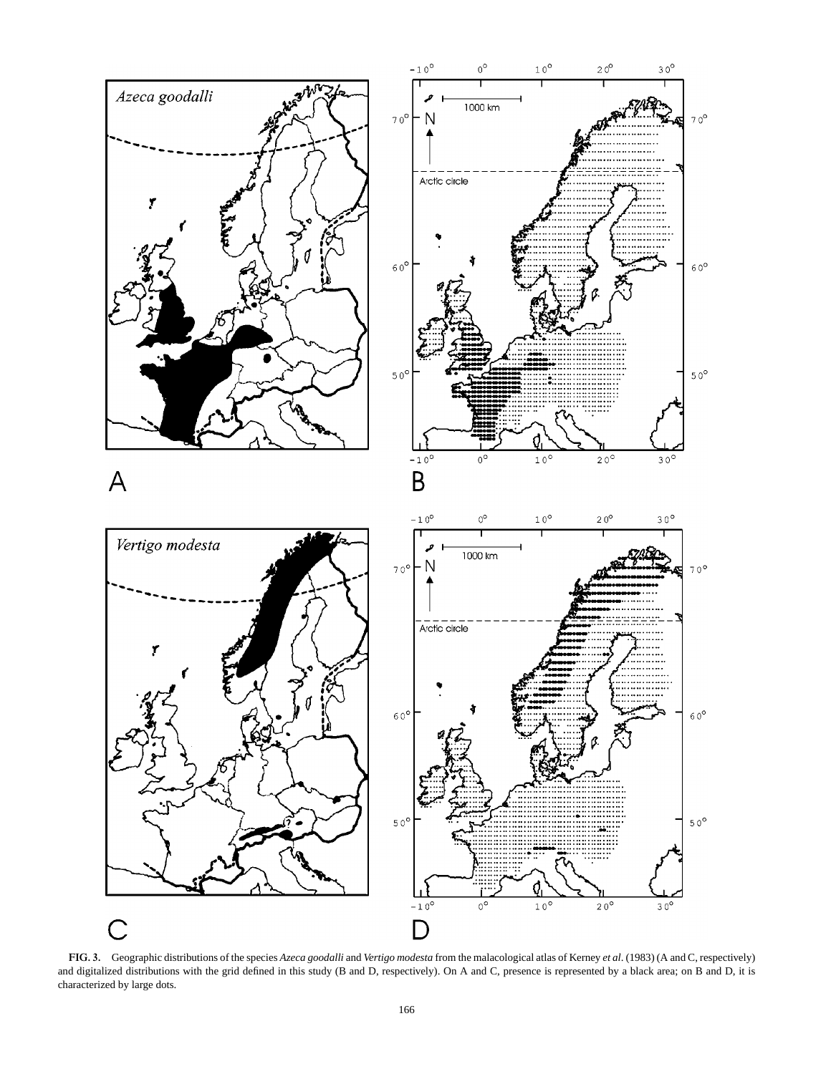

**FIG. 3.** Geographic distributions of the species *Azeca goodalli* and *Vertigo modesta* from the malacological atlas of Kerney *et al*. (1983) (A and C, respectively) and digitalized distributions with the grid defined in this study (B and D, respectively). On A and C, presence is represented by a black area; on B and D, it is characterized by large dots.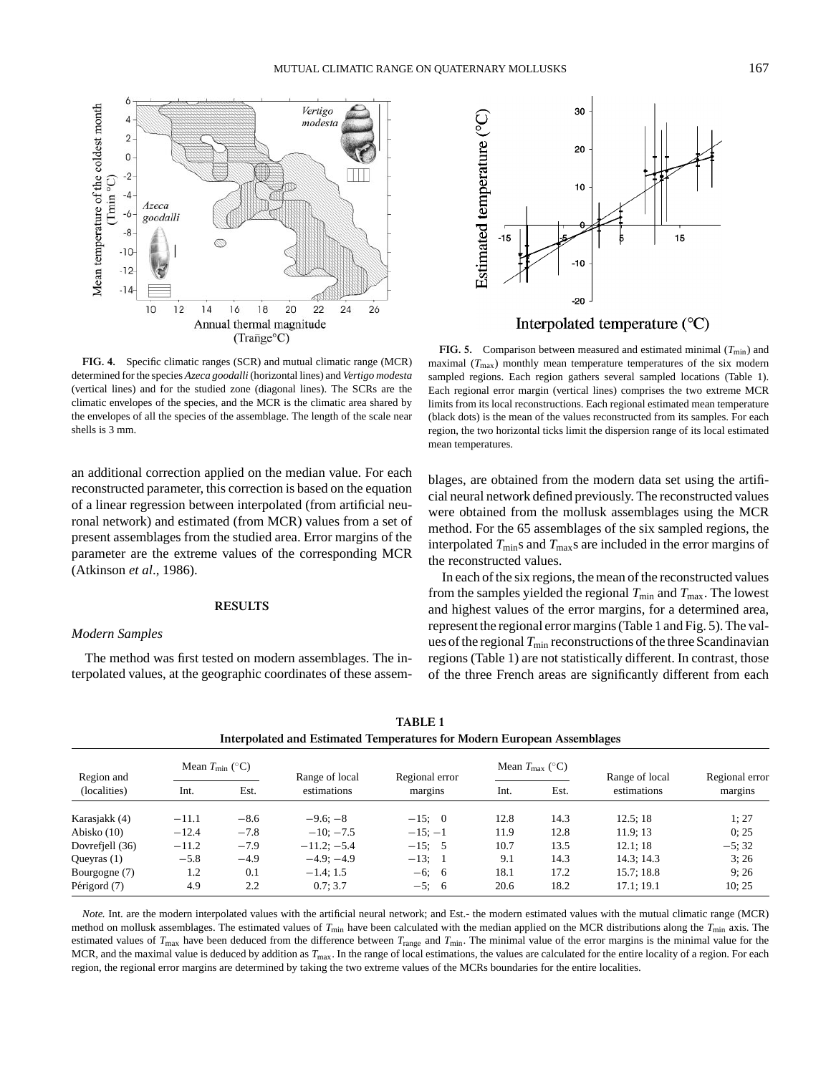

**FIG. 4.** Specific climatic ranges (SCR) and mutual climatic range (MCR) determined for the species *Azeca goodalli* (horizontal lines) and *Vertigo modesta* (vertical lines) and for the studied zone (diagonal lines). The SCRs are the climatic envelopes of the species, and the MCR is the climatic area shared by the envelopes of all the species of the assemblage. The length of the scale near shells is 3 mm.

an additional correction applied on the median value. For each reconstructed parameter, this correction is based on the equation of a linear regression between interpolated (from artificial neuronal network) and estimated (from MCR) values from a set of present assemblages from the studied area. Error margins of the parameter are the extreme values of the corresponding MCR (Atkinson *et al*., 1986).

## **RESULTS**

# *Modern Samples*

The method was first tested on modern assemblages. The interpolated values, at the geographic coordinates of these assem-



**FIG. 5.** Comparison between measured and estimated minimal  $(T_{min})$  and maximal (*T*max) monthly mean temperature temperatures of the six modern sampled regions. Each region gathers several sampled locations (Table 1). Each regional error margin (vertical lines) comprises the two extreme MCR limits from its local reconstructions. Each regional estimated mean temperature (black dots) is the mean of the values reconstructed from its samples. For each region, the two horizontal ticks limit the dispersion range of its local estimated mean temperatures.

blages, are obtained from the modern data set using the artificial neural network defined previously. The reconstructed values were obtained from the mollusk assemblages using the MCR method. For the 65 assemblages of the six sampled regions, the interpolated  $T_{\text{min}}$ s and  $T_{\text{max}}$ s are included in the error margins of the reconstructed values.

In each of the six regions, the mean of the reconstructed values from the samples yielded the regional  $T_{\text{min}}$  and  $T_{\text{max}}$ . The lowest and highest values of the error margins, for a determined area, represent the regional error margins (Table 1 and Fig. 5). The values of the regional  $T_{\text{min}}$  reconstructions of the three Scandinavian regions (Table 1) are not statistically different. In contrast, those of the three French areas are significantly different from each

| Region and<br>(localities) | Mean $T_{\min}$ (°C) |        | Range of local | Regional error | Mean $T_{\text{max}}$ (°C) |      | Range of local | Regional error |
|----------------------------|----------------------|--------|----------------|----------------|----------------------------|------|----------------|----------------|
|                            | Int.                 | Est.   | estimations    | margins        | Int.                       | Est. | estimations    | margins        |
| Karasjakk (4)              | $-11.1$              | $-8.6$ | $-9.6: -8$     | $-15:0$        | 12.8                       | 14.3 | 12.5:18        | 1:27           |
| Abisko (10)                | $-12.4$              | $-7.8$ | $-10: -7.5$    | $-15: -1$      | 11.9                       | 12.8 | 11.9:13        | 0:25           |
| Dovrefiell (36)            | $-11.2$              | $-7.9$ | $-11.2: -5.4$  | $-15:5$        | 10.7                       | 13.5 | 12.1:18        | $-5:32$        |
| Queyras $(1)$              | $-5.8$               | $-4.9$ | $-4.9; -4.9$   | $-13; 1$       | 9.1                        | 14.3 | 14.3; 14.3     | 3:26           |
| Bourgogne (7)              | 1.2                  | 0.1    | $-1.4:1.5$     | $-6; 6$        | 18.1                       | 17.2 | 15.7:18.8      | 9:26           |
| Périgord (7)               | 4.9                  | 2.2    | 0.7:3.7        | $-5: 6$        | 20.6                       | 18.2 | 17.1:19.1      | 10:25          |

**TABLE 1 Interpolated and Estimated Temperatures for Modern European Assemblages**

*Note.* Int. are the modern interpolated values with the artificial neural network; and Est.- the modern estimated values with the mutual climatic range (MCR) method on mollusk assemblages. The estimated values of *T*min have been calculated with the median applied on the MCR distributions along the *T*min axis. The estimated values of  $T_{\text{max}}$  have been deduced from the difference between  $T_{\text{range}}$  and  $T_{\text{min}}$ . The minimal value of the error margins is the minimal value for the MCR, and the maximal value is deduced by addition as  $T_{\text{max}}$ . In the range of local estimations, the values are calculated for the entire locality of a region. For each region, the regional error margins are determined by taking the two extreme values of the MCRs boundaries for the entire localities.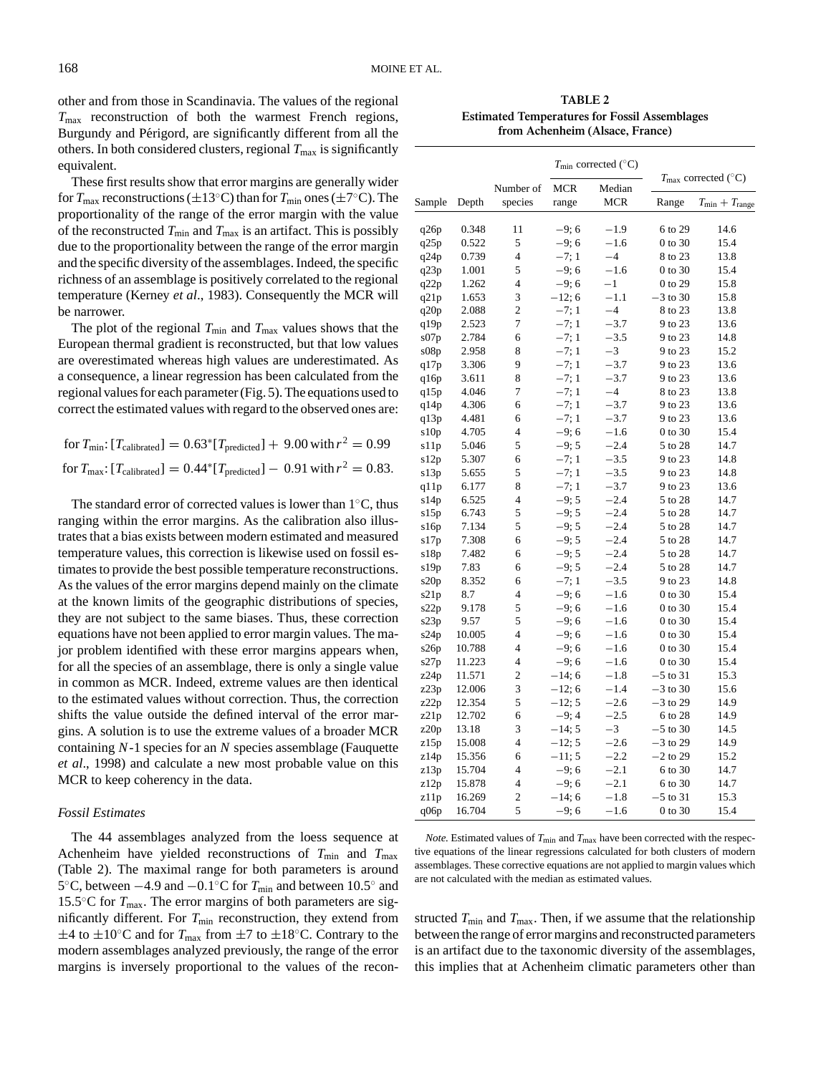other and from those in Scandinavia. The values of the regional *T*max reconstruction of both the warmest French regions, Burgundy and Périgord, are significantly different from all the others. In both considered clusters, regional  $T_{\text{max}}$  is significantly equivalent.

These first results show that error margins are generally wider for  $T_{\text{max}}$  reconstructions ( $\pm 13^{\circ}$ C) than for  $T_{\text{min}}$  ones ( $\pm 7^{\circ}$ C). The proportionality of the range of the error margin with the value of the reconstructed  $T_{\text{min}}$  and  $T_{\text{max}}$  is an artifact. This is possibly due to the proportionality between the range of the error margin and the specific diversity of the assemblages. Indeed, the specific richness of an assemblage is positively correlated to the regional temperature (Kerney *et al*., 1983). Consequently the MCR will be narrower.

The plot of the regional  $T_{\text{min}}$  and  $T_{\text{max}}$  values shows that the European thermal gradient is reconstructed, but that low values are overestimated whereas high values are underestimated. As a consequence, a linear regression has been calculated from the regional values for each parameter (Fig. 5). The equations used to correct the estimated values with regard to the observed ones are:

for  $T_{\text{min}}$ : [ $T_{\text{calibrated}}$ ] = 0.63<sup>\*</sup>[ $T_{\text{predicted}}$ ] + 9.00 with  $r^2$  = 0.99 for  $T_{\text{max}}$ : [ $T_{\text{calibrated}}$ ] = 0.44<sup>\*</sup> [ $T_{\text{predicted}}$ ] – 0.91 with  $r^2$  = 0.83.

The standard error of corrected values is lower than 1◦C, thus ranging within the error margins. As the calibration also illustrates that a bias exists between modern estimated and measured temperature values, this correction is likewise used on fossil estimates to provide the best possible temperature reconstructions. As the values of the error margins depend mainly on the climate at the known limits of the geographic distributions of species, they are not subject to the same biases. Thus, these correction equations have not been applied to error margin values. The major problem identified with these error margins appears when, for all the species of an assemblage, there is only a single value in common as MCR. Indeed, extreme values are then identical to the estimated values without correction. Thus, the correction shifts the value outside the defined interval of the error margins. A solution is to use the extreme values of a broader MCR containing *N*-1 species for an *N* species assemblage (Fauquette *et al*., 1998) and calculate a new most probable value on this MCR to keep coherency in the data.

# *Fossil Estimates*

The 44 assemblages analyzed from the loess sequence at Achenheim have yielded reconstructions of  $T_{\text{min}}$  and  $T_{\text{max}}$ (Table 2). The maximal range for both parameters is around 5◦C, between −4.9 and −0.1◦C for *T*min and between 10.5◦ and 15.5◦C for *T*max. The error margins of both parameters are significantly different. For  $T_{\text{min}}$  reconstruction, they extend from  $\pm$ 4 to  $\pm$ 10<sup>°</sup>C and for  $T_{\text{max}}$  from  $\pm$ 7 to  $\pm$ 18<sup>°</sup>C. Contrary to the modern assemblages analyzed previously, the range of the error margins is inversely proportional to the values of the recon-

**TABLE 2 Estimated Temperatures for Fossil Assemblages from Achenheim (Alsace, France)**

|        |        |                     | $T_{\text{min}}$ corrected (°C) |                | $T_{\text{max}}$ corrected (°C) |                               |  |
|--------|--------|---------------------|---------------------------------|----------------|---------------------------------|-------------------------------|--|
|        |        | Number of           | <b>MCR</b>                      | Median         |                                 |                               |  |
| Sample | Depth  | species             | range                           | <b>MCR</b>     | Range                           | $T_{\min} + T_{\text{range}}$ |  |
|        |        |                     |                                 | $-1.9$         | 6 to 29                         | 14.6                          |  |
| q26p   | 0.348  | 11<br>5             | $-9;6$<br>$-9:6$                | $-1.6$         |                                 |                               |  |
| q25p   | 0.522  | 4                   | $-7;1$                          | $-4$           | 0 to 30<br>8 to 23              | 15.4                          |  |
| q24p   | 0.739  |                     |                                 |                |                                 | 13.8                          |  |
| q23p   | 1.001  | 5<br>$\overline{4}$ | $-9;6$                          | $-1.6$<br>$-1$ | 0 to 30                         | 15.4                          |  |
| q22p   | 1.262  |                     | $-9;6$                          |                | 0 to 29                         | 15.8                          |  |
| q21p   | 1.653  | 3                   | $-12;6$                         | $-1.1$         | $-3$ to 30                      | 15.8                          |  |
| q20p   | 2.088  | $\overline{c}$      | $-7;1$                          | $-4$           | 8 to 23                         | 13.8                          |  |
| q19p   | 2.523  | 7                   | $-7;1$                          | $-3.7$         | 9 to 23                         | 13.6                          |  |
| s07p   | 2.784  | 6                   | $-7;1$                          | $-3.5$         | 9 to 23                         | 14.8                          |  |
| s08p   | 2.958  | 8                   | $-7;1$                          | $^{-3}$        | 9 to 23                         | 15.2                          |  |
| q17p   | 3.306  | 9                   | $-7;1$                          | $-3.7$         | 9 to 23                         | 13.6                          |  |
| q16p   | 3.611  | 8                   | $-7;1$                          | $-3.7$         | 9 to 23                         | 13.6                          |  |
| q15p   | 4.046  | 7                   | $-7;1$                          | $-4$           | 8 to 23                         | 13.8                          |  |
| q14p   | 4.306  | 6                   | $-7;1$                          | $-3.7$         | 9 to 23                         | 13.6                          |  |
| q13p   | 4.481  | 6                   | $-7;1$                          | $-3.7$         | 9 to 23                         | 13.6                          |  |
| s10p   | 4.705  | 4                   | $-9;6$                          | $-1.6$         | 0 to 30                         | 15.4                          |  |
| s11p   | 5.046  | 5                   | $-9;5$                          | $-2.4$         | 5 to 28                         | 14.7                          |  |
| s12p   | 5.307  | 6                   | $-7;1$                          | $-3.5$         | 9 to 23                         | 14.8                          |  |
| s13p   | 5.655  | 5                   | $-7;1$                          | $-3.5$         | 9 to 23                         | 14.8                          |  |
| q11p   | 6.177  | 8                   | $-7;1$                          | $-3.7$         | 9 to 23                         | 13.6                          |  |
| s14p   | 6.525  | 4                   | $-9:5$                          | $-2.4$         | 5 to 28                         | 14.7                          |  |
| s15p   | 6.743  | 5                   | $-9;5$                          | $-2.4$         | 5 to 28                         | 14.7                          |  |
| s16p   | 7.134  | 5                   | $-9:5$                          | $-2.4$         | 5 to 28                         | 14.7                          |  |
| s17p   | 7.308  | 6                   | $-9;5$                          | $-2.4$         | 5 to 28                         | 14.7                          |  |
| s18p   | 7.482  | 6                   | $-9;5$                          | $-2.4$         | 5 to 28                         | 14.7                          |  |
| s19p   | 7.83   | 6                   | $-9;5$                          | $-2.4$         | 5 to 28                         | 14.7                          |  |
| s20p   | 8.352  | 6                   | $-7;1$                          | $-3.5$         | 9 to 23                         | 14.8                          |  |
| s21p   | 8.7    | 4                   | $-9;6$                          | $-1.6$         | 0 to 30                         | 15.4                          |  |
| s22p   | 9.178  | 5                   | $-9;6$                          | $-1.6$         | 0 to 30                         | 15.4                          |  |
| s23p   | 9.57   | 5                   | $-9;6$                          | $-1.6$         | 0 to 30                         | 15.4                          |  |
| s24p   | 10.005 | 4                   | $-9:6$                          | $-1.6$         | 0 to 30                         | 15.4                          |  |
| s26p   | 10.788 | 4                   | $-9;6$                          | $-1.6$         | 0 to 30                         | 15.4                          |  |
| s27p   | 11.223 | 4                   | $-9;6$                          | $-1.6$         | 0 to 30                         | 15.4                          |  |
| z24p   | 11.571 | $\overline{c}$      | $-14:6$                         | $-1.8$         | $-5$ to 31                      | 15.3                          |  |
| z23p   | 12.006 | 3                   | $-12;6$                         | $-1.4$         | $-3$ to 30                      | 15.6                          |  |
| z22p   | 12.354 | 5                   | $-12; 5$                        | $-2.6$         | $-3$ to 29                      | 14.9                          |  |
| z21p   | 12.702 | 6                   | $-9:4$                          | $-2.5$         | 6 to 28                         | 14.9                          |  |
| z20p   | 13.18  | 3                   | $-14;5$                         | $^{-3}$        | $-5$ to 30                      | 14.5                          |  |
| z15p   | 15.008 | 4                   | $-12; 5$                        | $-2.6$         | $-3$ to 29                      | 14.9                          |  |
| z14p   | 15.356 | 6                   | $-11;5$                         | $-2.2$         | $-2$ to 29                      | 15.2                          |  |
| z13p   | 15.704 | 4                   | $-9;6$                          | $-2.1$         | 6 to 30                         | 14.7                          |  |
| z12p   | 15.878 | 4                   | $-9;6$                          | $-2.1$         | 6 to 30                         | 14.7                          |  |
| z11p   | 16.269 | $\overline{c}$      | $-14;6$                         | $-1.8$         | $-5$ to 31                      | 15.3                          |  |
| q06p   | 16.704 | 5                   | $-9;6$                          | $-1.6$         | 0 to 30                         | 15.4                          |  |

*Note*. Estimated values of  $T_{\text{min}}$  and  $T_{\text{max}}$  have been corrected with the respective equations of the linear regressions calculated for both clusters of modern assemblages. These corrective equations are not applied to margin values which are not calculated with the median as estimated values.

structed  $T_{\text{min}}$  and  $T_{\text{max}}$ . Then, if we assume that the relationship between the range of error margins and reconstructed parameters is an artifact due to the taxonomic diversity of the assemblages, this implies that at Achenheim climatic parameters other than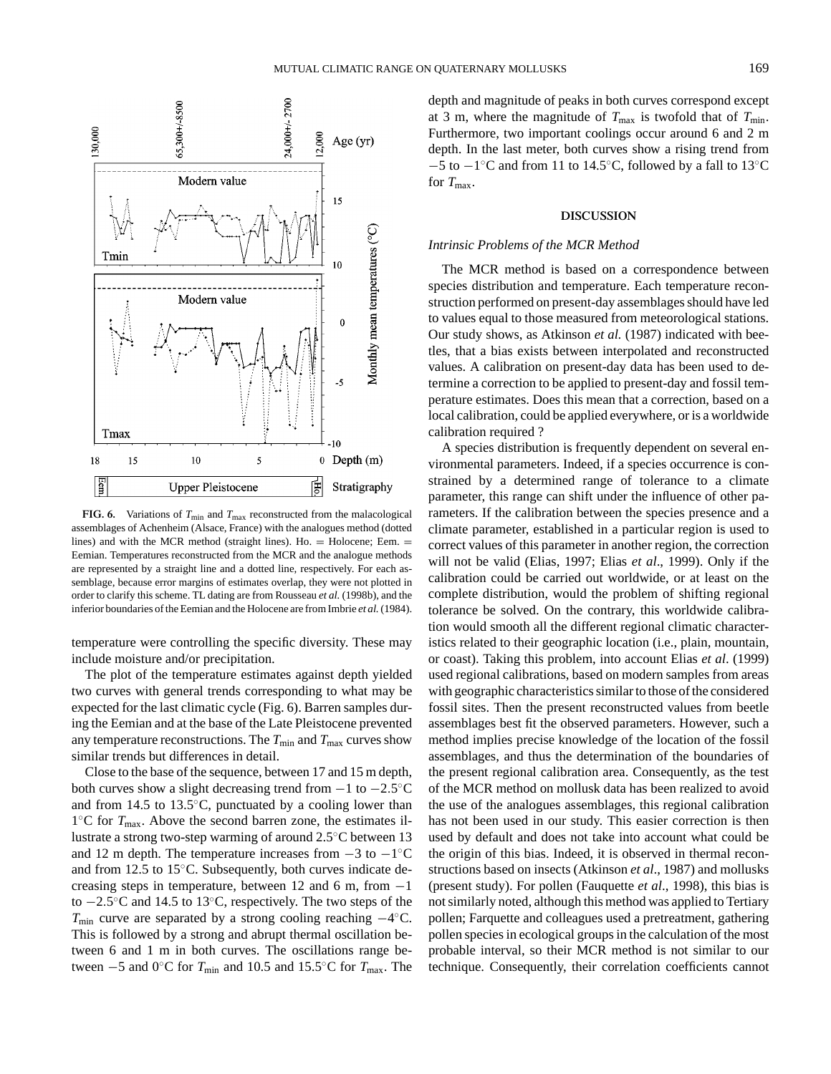

**FIG. 6.** Variations of  $T_{\text{min}}$  and  $T_{\text{max}}$  reconstructed from the malacological assemblages of Achenheim (Alsace, France) with the analogues method (dotted lines) and with the MCR method (straight lines). Ho.  $=$  Holocene; Eem.  $=$ Eemian. Temperatures reconstructed from the MCR and the analogue methods are represented by a straight line and a dotted line, respectively. For each assemblage, because error margins of estimates overlap, they were not plotted in order to clarify this scheme. TL dating are from Rousseau *et al.* (1998b), and the inferior boundaries of the Eemian and the Holocene are from Imbrie *et al.*(1984).

temperature were controlling the specific diversity. These may include moisture and/or precipitation.

The plot of the temperature estimates against depth yielded two curves with general trends corresponding to what may be expected for the last climatic cycle (Fig. 6). Barren samples during the Eemian and at the base of the Late Pleistocene prevented any temperature reconstructions. The  $T_{\text{min}}$  and  $T_{\text{max}}$  curves show similar trends but differences in detail.

Close to the base of the sequence, between 17 and 15 m depth, both curves show a slight decreasing trend from  $-1$  to  $-2.5\degree$ C and from 14.5 to 13.5◦C, punctuated by a cooling lower than 1◦C for *T*max. Above the second barren zone, the estimates illustrate a strong two-step warming of around 2.5◦C between 13 and 12 m depth. The temperature increases from  $-3$  to  $-1$ <sup>°</sup>C and from 12.5 to 15◦C. Subsequently, both curves indicate decreasing steps in temperature, between 12 and 6 m, from −1 to −2.5◦C and 14.5 to 13◦C, respectively. The two steps of the  $T_{\text{min}}$  curve are separated by a strong cooling reaching  $-4°C$ . This is followed by a strong and abrupt thermal oscillation between 6 and 1 m in both curves. The oscillations range between  $-5$  and 0<sup>°</sup>C for  $T_{\text{min}}$  and 10.5 and 15.5<sup>°</sup>C for  $T_{\text{max}}$ . The depth and magnitude of peaks in both curves correspond except at 3 m, where the magnitude of  $T_{\text{max}}$  is twofold that of  $T_{\text{min}}$ . Furthermore, two important coolings occur around 6 and 2 m depth. In the last meter, both curves show a rising trend from −5 to −1◦C and from 11 to 14.5◦C, followed by a fall to 13◦C for  $T_{\rm max}$ .

# **DISCUSSION**

#### *Intrinsic Problems of the MCR Method*

The MCR method is based on a correspondence between species distribution and temperature. Each temperature reconstruction performed on present-day assemblages should have led to values equal to those measured from meteorological stations. Our study shows, as Atkinson *et al.* (1987) indicated with beetles, that a bias exists between interpolated and reconstructed values. A calibration on present-day data has been used to determine a correction to be applied to present-day and fossil temperature estimates. Does this mean that a correction, based on a local calibration, could be applied everywhere, or is a worldwide calibration required ?

A species distribution is frequently dependent on several environmental parameters. Indeed, if a species occurrence is constrained by a determined range of tolerance to a climate parameter, this range can shift under the influence of other parameters. If the calibration between the species presence and a climate parameter, established in a particular region is used to correct values of this parameter in another region, the correction will not be valid (Elias, 1997; Elias *et al*., 1999). Only if the calibration could be carried out worldwide, or at least on the complete distribution, would the problem of shifting regional tolerance be solved. On the contrary, this worldwide calibration would smooth all the different regional climatic characteristics related to their geographic location (i.e., plain, mountain, or coast). Taking this problem, into account Elias *et al*. (1999) used regional calibrations, based on modern samples from areas with geographic characteristics similar to those of the considered fossil sites. Then the present reconstructed values from beetle assemblages best fit the observed parameters. However, such a method implies precise knowledge of the location of the fossil assemblages, and thus the determination of the boundaries of the present regional calibration area. Consequently, as the test of the MCR method on mollusk data has been realized to avoid the use of the analogues assemblages, this regional calibration has not been used in our study. This easier correction is then used by default and does not take into account what could be the origin of this bias. Indeed, it is observed in thermal reconstructions based on insects (Atkinson *et al*., 1987) and mollusks (present study). For pollen (Fauquette *et al*., 1998), this bias is not similarly noted, although this method was applied to Tertiary pollen; Farquette and colleagues used a pretreatment, gathering pollen species in ecological groups in the calculation of the most probable interval, so their MCR method is not similar to our technique. Consequently, their correlation coefficients cannot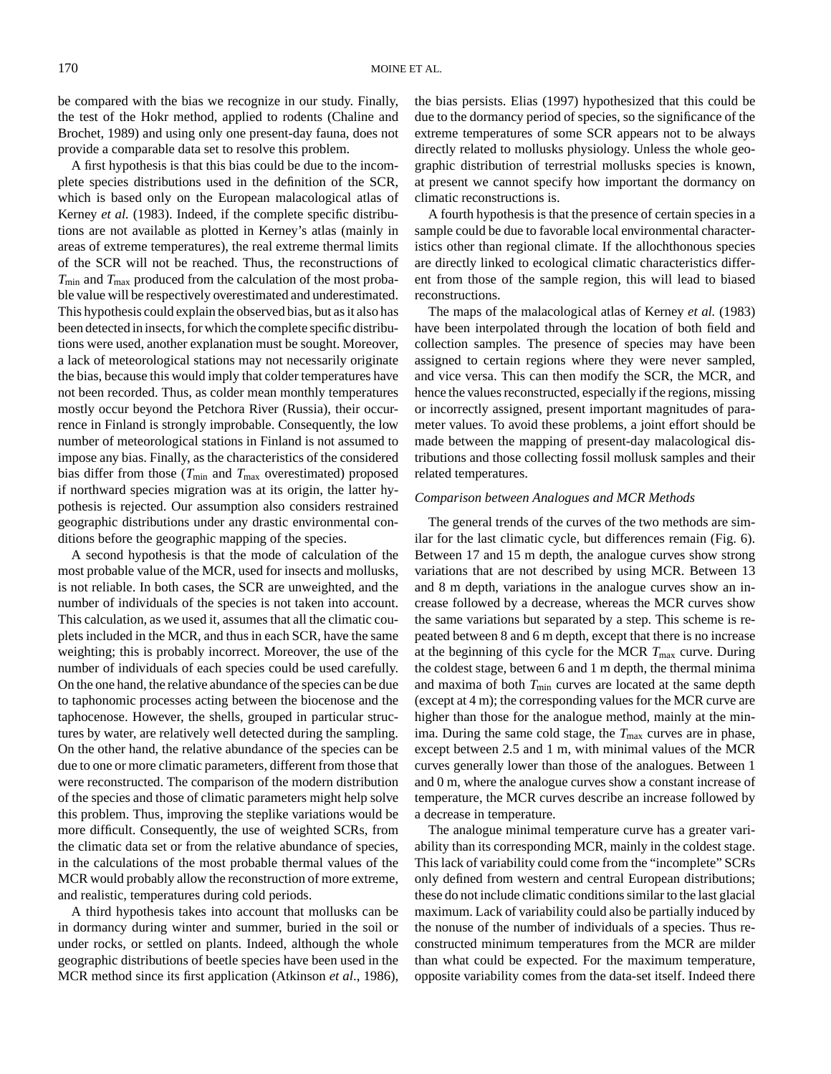be compared with the bias we recognize in our study. Finally, the test of the Hokr method, applied to rodents (Chaline and Brochet, 1989) and using only one present-day fauna, does not provide a comparable data set to resolve this problem.

A first hypothesis is that this bias could be due to the incomplete species distributions used in the definition of the SCR, which is based only on the European malacological atlas of Kerney *et al.* (1983). Indeed, if the complete specific distributions are not available as plotted in Kerney's atlas (mainly in areas of extreme temperatures), the real extreme thermal limits of the SCR will not be reached. Thus, the reconstructions of *T*min and *T*max produced from the calculation of the most probable value will be respectively overestimated and underestimated. This hypothesis could explain the observed bias, but as it also has been detected in insects, for which the complete specific distributions were used, another explanation must be sought. Moreover, a lack of meteorological stations may not necessarily originate the bias, because this would imply that colder temperatures have not been recorded. Thus, as colder mean monthly temperatures mostly occur beyond the Petchora River (Russia), their occurrence in Finland is strongly improbable. Consequently, the low number of meteorological stations in Finland is not assumed to impose any bias. Finally, as the characteristics of the considered bias differ from those ( $T_{\text{min}}$  and  $T_{\text{max}}$  overestimated) proposed if northward species migration was at its origin, the latter hypothesis is rejected. Our assumption also considers restrained geographic distributions under any drastic environmental conditions before the geographic mapping of the species.

A second hypothesis is that the mode of calculation of the most probable value of the MCR, used for insects and mollusks, is not reliable. In both cases, the SCR are unweighted, and the number of individuals of the species is not taken into account. This calculation, as we used it, assumes that all the climatic couplets included in the MCR, and thus in each SCR, have the same weighting; this is probably incorrect. Moreover, the use of the number of individuals of each species could be used carefully. On the one hand, the relative abundance of the species can be due to taphonomic processes acting between the biocenose and the taphocenose. However, the shells, grouped in particular structures by water, are relatively well detected during the sampling. On the other hand, the relative abundance of the species can be due to one or more climatic parameters, different from those that were reconstructed. The comparison of the modern distribution of the species and those of climatic parameters might help solve this problem. Thus, improving the steplike variations would be more difficult. Consequently, the use of weighted SCRs, from the climatic data set or from the relative abundance of species, in the calculations of the most probable thermal values of the MCR would probably allow the reconstruction of more extreme, and realistic, temperatures during cold periods.

A third hypothesis takes into account that mollusks can be in dormancy during winter and summer, buried in the soil or under rocks, or settled on plants. Indeed, although the whole geographic distributions of beetle species have been used in the MCR method since its first application (Atkinson *et al*., 1986), the bias persists. Elias (1997) hypothesized that this could be due to the dormancy period of species, so the significance of the extreme temperatures of some SCR appears not to be always directly related to mollusks physiology. Unless the whole geographic distribution of terrestrial mollusks species is known, at present we cannot specify how important the dormancy on climatic reconstructions is.

A fourth hypothesis is that the presence of certain species in a sample could be due to favorable local environmental characteristics other than regional climate. If the allochthonous species are directly linked to ecological climatic characteristics different from those of the sample region, this will lead to biased reconstructions.

The maps of the malacological atlas of Kerney *et al.* (1983) have been interpolated through the location of both field and collection samples. The presence of species may have been assigned to certain regions where they were never sampled, and vice versa. This can then modify the SCR, the MCR, and hence the values reconstructed, especially if the regions, missing or incorrectly assigned, present important magnitudes of parameter values. To avoid these problems, a joint effort should be made between the mapping of present-day malacological distributions and those collecting fossil mollusk samples and their related temperatures.

#### *Comparison between Analogues and MCR Methods*

The general trends of the curves of the two methods are similar for the last climatic cycle, but differences remain (Fig. 6). Between 17 and 15 m depth, the analogue curves show strong variations that are not described by using MCR. Between 13 and 8 m depth, variations in the analogue curves show an increase followed by a decrease, whereas the MCR curves show the same variations but separated by a step. This scheme is repeated between 8 and 6 m depth, except that there is no increase at the beginning of this cycle for the MCR  $T_{\text{max}}$  curve. During the coldest stage, between 6 and 1 m depth, the thermal minima and maxima of both  $T_{\text{min}}$  curves are located at the same depth (except at 4 m); the corresponding values for the MCR curve are higher than those for the analogue method, mainly at the minima. During the same cold stage, the  $T_{\text{max}}$  curves are in phase, except between 2.5 and 1 m, with minimal values of the MCR curves generally lower than those of the analogues. Between 1 and 0 m, where the analogue curves show a constant increase of temperature, the MCR curves describe an increase followed by a decrease in temperature.

The analogue minimal temperature curve has a greater variability than its corresponding MCR, mainly in the coldest stage. This lack of variability could come from the "incomplete" SCRs only defined from western and central European distributions; these do not include climatic conditions similar to the last glacial maximum. Lack of variability could also be partially induced by the nonuse of the number of individuals of a species. Thus reconstructed minimum temperatures from the MCR are milder than what could be expected. For the maximum temperature, opposite variability comes from the data-set itself. Indeed there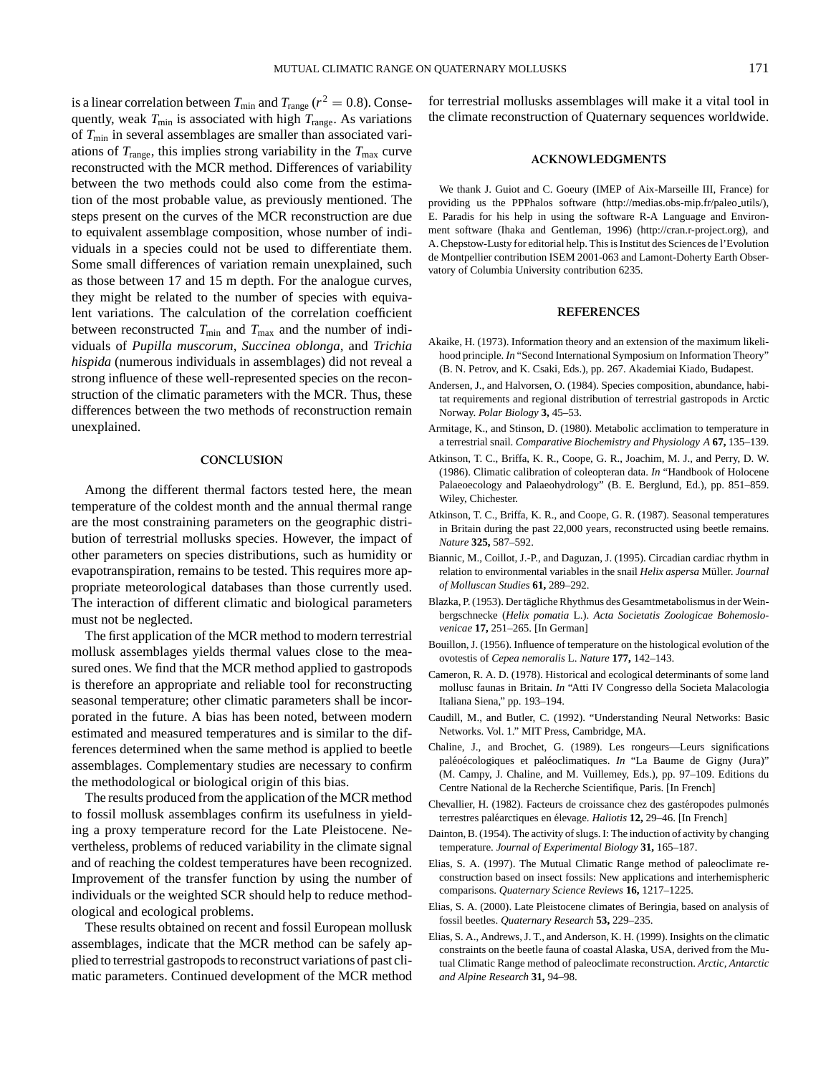is a linear correlation between  $T_{\text{min}}$  and  $T_{\text{range}}$  ( $r^2 = 0.8$ ). Consequently, weak  $T_{\text{min}}$  is associated with high  $T_{\text{range}}$ . As variations of *T*min in several assemblages are smaller than associated variations of  $T_{\text{range}}$ , this implies strong variability in the  $T_{\text{max}}$  curve reconstructed with the MCR method. Differences of variability between the two methods could also come from the estimation of the most probable value, as previously mentioned. The steps present on the curves of the MCR reconstruction are due to equivalent assemblage composition, whose number of individuals in a species could not be used to differentiate them. Some small differences of variation remain unexplained, such as those between 17 and 15 m depth. For the analogue curves, they might be related to the number of species with equivalent variations. The calculation of the correlation coefficient between reconstructed  $T_{\text{min}}$  and  $T_{\text{max}}$  and the number of individuals of *Pupilla muscorum*, *Succinea oblonga,* and *Trichia hispida* (numerous individuals in assemblages) did not reveal a strong influence of these well-represented species on the reconstruction of the climatic parameters with the MCR. Thus, these differences between the two methods of reconstruction remain unexplained.

#### **CONCLUSION**

Among the different thermal factors tested here, the mean temperature of the coldest month and the annual thermal range are the most constraining parameters on the geographic distribution of terrestrial mollusks species. However, the impact of other parameters on species distributions, such as humidity or evapotranspiration, remains to be tested. This requires more appropriate meteorological databases than those currently used. The interaction of different climatic and biological parameters must not be neglected.

The first application of the MCR method to modern terrestrial mollusk assemblages yields thermal values close to the measured ones. We find that the MCR method applied to gastropods is therefore an appropriate and reliable tool for reconstructing seasonal temperature; other climatic parameters shall be incorporated in the future. A bias has been noted, between modern estimated and measured temperatures and is similar to the differences determined when the same method is applied to beetle assemblages. Complementary studies are necessary to confirm the methodological or biological origin of this bias.

The results produced from the application of the MCR method to fossil mollusk assemblages confirm its usefulness in yielding a proxy temperature record for the Late Pleistocene. Nevertheless, problems of reduced variability in the climate signal and of reaching the coldest temperatures have been recognized. Improvement of the transfer function by using the number of individuals or the weighted SCR should help to reduce methodological and ecological problems.

These results obtained on recent and fossil European mollusk assemblages, indicate that the MCR method can be safely applied to terrestrial gastropods to reconstruct variations of past climatic parameters. Continued development of the MCR method for terrestrial mollusks assemblages will make it a vital tool in the climate reconstruction of Quaternary sequences worldwide.

### **ACKNOWLEDGMENTS**

We thank J. Guiot and C. Goeury (IMEP of Aix-Marseille III, France) for providing us the PPPhalos software (http://medias.obs-mip.fr/paleo utils/), E. Paradis for his help in using the software R-A Language and Environment software (Ihaka and Gentleman, 1996) (http://cran.r-project.org), and A. Chepstow-Lusty for editorial help. This is Institut des Sciences de l'Evolution de Montpellier contribution ISEM 2001-063 and Lamont-Doherty Earth Observatory of Columbia University contribution 6235.

#### **REFERENCES**

- Akaike, H. (1973). Information theory and an extension of the maximum likelihood principle. *In* "Second International Symposium on Information Theory" (B. N. Petrov, and K. Csaki, Eds.), pp. 267. Akademiai Kiado, Budapest.
- Andersen, J., and Halvorsen, O. (1984). Species composition, abundance, habitat requirements and regional distribution of terrestrial gastropods in Arctic Norway. *Polar Biology* **3,** 45–53.
- Armitage, K., and Stinson, D. (1980). Metabolic acclimation to temperature in a terrestrial snail. *Comparative Biochemistry and Physiology A* **67,** 135–139.
- Atkinson, T. C., Briffa, K. R., Coope, G. R., Joachim, M. J., and Perry, D. W. (1986). Climatic calibration of coleopteran data. *In* "Handbook of Holocene Palaeoecology and Palaeohydrology" (B. E. Berglund, Ed.), pp. 851–859. Wiley, Chichester.
- Atkinson, T. C., Briffa, K. R., and Coope, G. R. (1987). Seasonal temperatures in Britain during the past 22,000 years, reconstructed using beetle remains. *Nature* **325,** 587–592.
- Biannic, M., Coillot, J.-P., and Daguzan, J. (1995). Circadian cardiac rhythm in relation to environmental variables in the snail *Helix aspersa* Müller. *Journal of Molluscan Studies* **61,** 289–292.
- Blazka, P. (1953). Der tägliche Rhythmus des Gesamtmetabolismus in der Weinbergschnecke (*Helix pomatia* L.). *Acta Societatis Zoologicae Bohemoslovenicae* **17,** 251–265. [In German]
- Bouillon, J. (1956). Influence of temperature on the histological evolution of the ovotestis of *Cepea nemoralis* L. *Nature* **177,** 142–143.
- Cameron, R. A. D. (1978). Historical and ecological determinants of some land mollusc faunas in Britain. *In* "Atti IV Congresso della Societa Malacologia Italiana Siena," pp. 193–194.
- Caudill, M., and Butler, C. (1992). "Understanding Neural Networks: Basic Networks. Vol. 1." MIT Press, Cambridge, MA.
- Chaline, J., and Brochet, G. (1989). Les rongeurs—Leurs significations paléoécologiques et paléoclimatiques. *In* "La Baume de Gigny (Jura)" (M. Campy, J. Chaline, and M. Vuillemey, Eds.), pp. 97–109. Editions du Centre National de la Recherche Scientifique, Paris. [In French]
- Chevallier, H. (1982). Facteurs de croissance chez des gastéropodes pulmonés terrestres paléarctiques en élevage. *Haliotis* 12, 29–46. [In French]
- Dainton, B. (1954). The activity of slugs. I: The induction of activity by changing temperature. *Journal of Experimental Biology* **31,** 165–187.
- Elias, S. A. (1997). The Mutual Climatic Range method of paleoclimate reconstruction based on insect fossils: New applications and interhemispheric comparisons. *Quaternary Science Reviews* **16,** 1217–1225.
- Elias, S. A. (2000). Late Pleistocene climates of Beringia, based on analysis of fossil beetles. *Quaternary Research* **53,** 229–235.
- Elias, S. A., Andrews, J. T., and Anderson, K. H. (1999). Insights on the climatic constraints on the beetle fauna of coastal Alaska, USA, derived from the Mutual Climatic Range method of paleoclimate reconstruction. *Arctic, Antarctic and Alpine Research* **31,** 94–98.